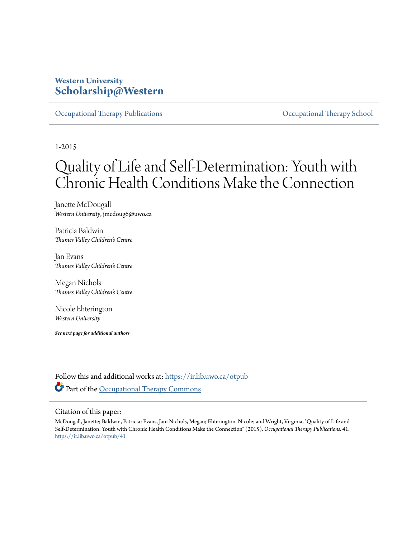# **Western University [Scholarship@Western](https://ir.lib.uwo.ca?utm_source=ir.lib.uwo.ca%2Fotpub%2F41&utm_medium=PDF&utm_campaign=PDFCoverPages)**

[Occupational Therapy Publications](https://ir.lib.uwo.ca/otpub?utm_source=ir.lib.uwo.ca%2Fotpub%2F41&utm_medium=PDF&utm_campaign=PDFCoverPages) [Occupational Therapy School](https://ir.lib.uwo.ca/ot?utm_source=ir.lib.uwo.ca%2Fotpub%2F41&utm_medium=PDF&utm_campaign=PDFCoverPages)

1-2015

# Quality of Life and Self-Determination: Youth with Chronic Health Conditions Make the Connection

Janette McDougall *Western University*, jmcdoug6@uwo.ca

Patricia Baldwin *Thames Valley Children's Centre*

Jan Evans *Thames Valley Children's Centre*

Megan Nichols *Thames Valley Children's Centre*

Nicole Ehterington *Western University*

*See next page for additional authors*

Follow this and additional works at: [https://ir.lib.uwo.ca/otpub](https://ir.lib.uwo.ca/otpub?utm_source=ir.lib.uwo.ca%2Fotpub%2F41&utm_medium=PDF&utm_campaign=PDFCoverPages) Part of the [Occupational Therapy Commons](http://network.bepress.com/hgg/discipline/752?utm_source=ir.lib.uwo.ca%2Fotpub%2F41&utm_medium=PDF&utm_campaign=PDFCoverPages)

# Citation of this paper:

McDougall, Janette; Baldwin, Patricia; Evans, Jan; Nichols, Megan; Ehterington, Nicole; and Wright, Virginia, "Quality of Life and Self-Determination: Youth with Chronic Health Conditions Make the Connection" (2015). *Occupational Therapy Publications*. 41. [https://ir.lib.uwo.ca/otpub/41](https://ir.lib.uwo.ca/otpub/41?utm_source=ir.lib.uwo.ca%2Fotpub%2F41&utm_medium=PDF&utm_campaign=PDFCoverPages)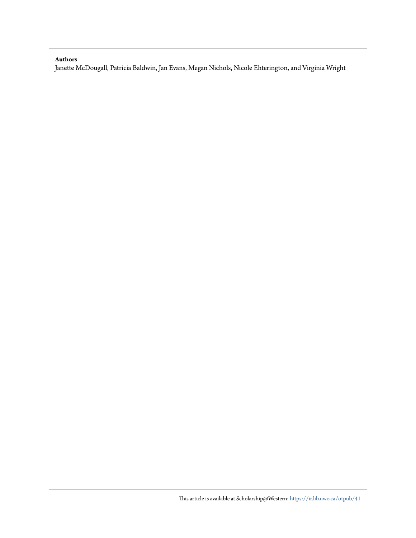# **Authors**

Janette McDougall, Patricia Baldwin, Jan Evans, Megan Nichols, Nicole Ehterington, and Virginia Wright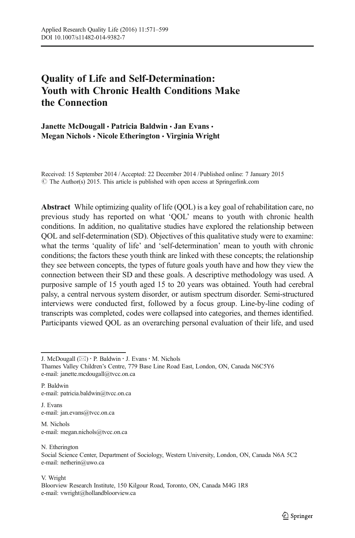# Quality of Life and Self-Determination: Youth with Chronic Health Conditions Make the Connection

Janette McDougall · Patricia Baldwin · Jan Evans · Megan Nichols · Nicole Etherington · Virginia Wright

Received: 15 September 2014 /Accepted: 22 December 2014 / Published online: 7 January 2015  $\odot$  The Author(s) 2015. This article is published with open access at Springerlink.com

Abstract While optimizing quality of life (QOL) is a key goal of rehabilitation care, no previous study has reported on what 'QOL' means to youth with chronic health conditions. In addition, no qualitative studies have explored the relationship between QOL and self-determination (SD). Objectives of this qualitative study were to examine: what the terms 'quality of life' and 'self-determination' mean to youth with chronic conditions; the factors these youth think are linked with these concepts; the relationship they see between concepts, the types of future goals youth have and how they view the connection between their SD and these goals. A descriptive methodology was used. A purposive sample of 15 youth aged 15 to 20 years was obtained. Youth had cerebral palsy, a central nervous system disorder, or autism spectrum disorder. Semi-structured interviews were conducted first, followed by a focus group. Line-by-line coding of transcripts was completed, codes were collapsed into categories, and themes identified. Participants viewed QOL as an overarching personal evaluation of their life, and used

J. McDougall  $(\boxtimes) \cdot$  P. Baldwin  $\cdot$  J. Evans  $\cdot$  M. Nichols

Thames Valley Children's Centre, 779 Base Line Road East, London, ON, Canada N6C5Y6 e-mail: janette.mcdougall@tvcc.on.ca

P. Baldwin e-mail: patricia.baldwin@tvcc.on.ca

J. Evans e-mail: jan.evans@tvcc.on.ca

M. Nichols e-mail: megan.nichols@tvcc.on.ca

N. Etherington Social Science Center, Department of Sociology, Western University, London, ON, Canada N6A 5C2 e-mail: netherin@uwo.ca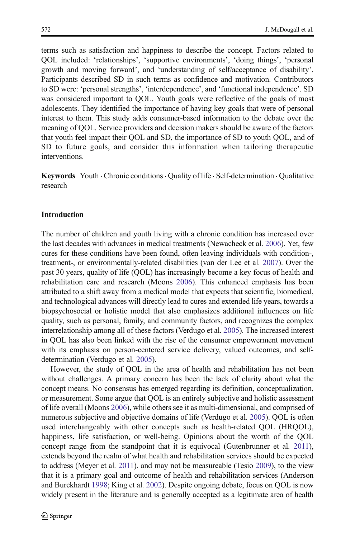terms such as satisfaction and happiness to describe the concept. Factors related to QOL included: 'relationships', 'supportive environments', 'doing things', 'personal growth and moving forward', and 'understanding of self/acceptance of disability'. Participants described SD in such terms as confidence and motivation. Contributors to SD were: 'personal strengths', 'interdependence', and 'functional independence'. SD was considered important to QOL. Youth goals were reflective of the goals of most adolescents. They identified the importance of having key goals that were of personal interest to them. This study adds consumer-based information to the debate over the meaning of QOL. Service providers and decision makers should be aware of the factors that youth feel impact their QOL and SD, the importance of SD to youth QOL, and of SD to future goals, and consider this information when tailoring therapeutic interventions.

**Keywords** Youth  $\cdot$  Chronic conditions  $\cdot$  Quality of life  $\cdot$  Self-determination  $\cdot$  Qualitative research

#### Introduction

The number of children and youth living with a chronic condition has increased over the last decades with advances in medical treatments (Newacheck et al. [2006](#page-28-0)). Yet, few cures for these conditions have been found, often leaving individuals with condition-, treatment-, or environmentally-related disabilities (van der Lee et al. [2007\)](#page-29-0). Over the past 30 years, quality of life (QOL) has increasingly become a key focus of health and rehabilitation care and research (Moons [2006](#page-28-0)). This enhanced emphasis has been attributed to a shift away from a medical model that expects that scientific, biomedical, and technological advances will directly lead to cures and extended life years, towards a biopsychosocial or holistic model that also emphasizes additional influences on life quality, such as personal, family, and community factors, and recognizes the complex interrelationship among all of these factors (Verdugo et al. [2005](#page-29-0)). The increased interest in QOL has also been linked with the rise of the consumer empowerment movement with its emphasis on person-centered service delivery, valued outcomes, and selfdetermination (Verdugo et al. [2005](#page-29-0)).

However, the study of QOL in the area of health and rehabilitation has not been without challenges. A primary concern has been the lack of clarity about what the concept means. No consensus has emerged regarding its definition, conceptualization, or measurement. Some argue that QOL is an entirely subjective and holistic assessment of life overall (Moons [2006](#page-28-0)), while others see it as multi-dimensional, and comprised of numerous subjective and objective domains of life (Verdugo et al. [2005\)](#page-29-0). QOL is often used interchangeably with other concepts such as health-related QOL (HRQOL), happiness, life satisfaction, or well-being. Opinions about the worth of the QOL concept range from the standpoint that it is equivocal (Gutenbrunner et al. [2011\)](#page-28-0), extends beyond the realm of what health and rehabilitation services should be expected to address (Meyer et al. [2011\)](#page-28-0), and may not be measureable (Tesio [2009\)](#page-29-0), to the view that it is a primary goal and outcome of health and rehabilitation services (Anderson and Burckhardt [1998](#page-27-0); King et al. [2002](#page-28-0)). Despite ongoing debate, focus on QOL is now widely present in the literature and is generally accepted as a legitimate area of health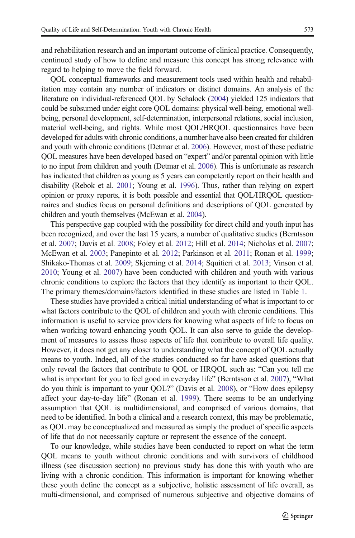and rehabilitation research and an important outcome of clinical practice. Consequently, continued study of how to define and measure this concept has strong relevance with regard to helping to move the field forward.

QOL conceptual frameworks and measurement tools used within health and rehabilitation may contain any number of indicators or distinct domains. An analysis of the literature on individual-referenced QOL by Schalock ([2004\)](#page-29-0) yielded 125 indicators that could be subsumed under eight core QOL domains: physical well-being, emotional wellbeing, personal development, self-determination, interpersonal relations, social inclusion, material well-being, and rights. While most QOL/HRQOL questionnaires have been developed for adults with chronic conditions, a number have also been created for children and youth with chronic conditions (Detmar et al. [2006\)](#page-27-0). However, most of these pediatric QOL measures have been developed based on "expert" and/or parental opinion with little to no input from children and youth (Detmar et al. [2006](#page-27-0)). This is unfortunate as research has indicated that children as young as 5 years can competently report on their health and disability (Rebok et al. [2001;](#page-29-0) Young et al. [1996](#page-30-0)). Thus, rather than relying on expert opinion or proxy reports, it is both possible and essential that QOL/HRQOL questionnaires and studies focus on personal definitions and descriptions of QOL generated by children and youth themselves (McEwan et al. [2004](#page-28-0)).

This perspective gap coupled with the possibility for direct child and youth input has been recognized, and over the last 15 years, a number of qualitative studies (Berntsson et al. [2007](#page-27-0); Davis et al. [2008;](#page-27-0) Foley et al. [2012;](#page-28-0) Hill et al. [2014](#page-28-0); Nicholas et al. [2007;](#page-29-0) McEwan et al. [2003](#page-28-0); Panepinto et al. [2012](#page-29-0); Parkinson et al. [2011;](#page-29-0) Ronan et al. [1999;](#page-29-0) Shikako-Thomas et al. [2009;](#page-29-0) Skjerning et al. [2014;](#page-29-0) Squitieri et al. [2013;](#page-29-0) Vinson et al. [2010;](#page-29-0) Young et al. [2007\)](#page-30-0) have been conducted with children and youth with various chronic conditions to explore the factors that they identify as important to their QOL. The primary themes/domains/factors identified in these studies are listed in Table [1.](#page-5-0)

These studies have provided a critical initial understanding of what is important to or what factors contribute to the QOL of children and youth with chronic conditions. This information is useful to service providers for knowing what aspects of life to focus on when working toward enhancing youth QOL. It can also serve to guide the development of measures to assess those aspects of life that contribute to overall life quality. However, it does not get any closer to understanding what the concept of QOL actually means to youth. Indeed, all of the studies conducted so far have asked questions that only reveal the factors that contribute to QOL or HRQOL such as: "Can you tell me what is important for you to feel good in everyday life" (Berntsson et al. [2007\)](#page-27-0), "What do you think is important to your QOL?" (Davis et al. [2008\)](#page-27-0), or "How does epilepsy affect your day-to-day life" (Ronan et al. [1999](#page-29-0)). There seems to be an underlying assumption that QOL is multidimensional, and comprised of various domains, that need to be identified. In both a clinical and a research context, this may be problematic, as QOL may be conceptualized and measured as simply the product of specific aspects of life that do not necessarily capture or represent the essence of the concept.

To our knowledge, while studies have been conducted to report on what the term QOL means to youth without chronic conditions and with survivors of childhood illness (see discussion section) no previous study has done this with youth who are living with a chronic condition. This information is important for knowing whether these youth define the concept as a subjective, holistic assessment of life overall, as multi-dimensional, and comprised of numerous subjective and objective domains of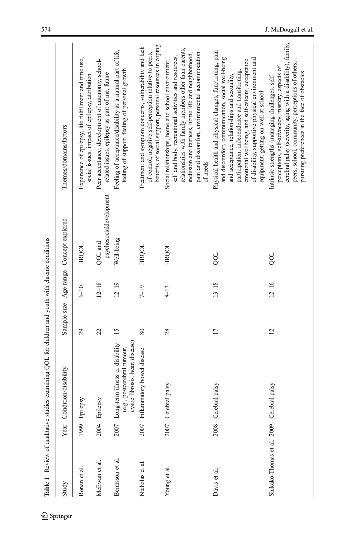<span id="page-5-0"></span>

|                            |      | Table 1 Review of qualitative studies examining QOL for children and youth with chronic conditions |                |           |                                    |                                                                                                                                                                                                                                                                                                                                                                 |
|----------------------------|------|----------------------------------------------------------------------------------------------------|----------------|-----------|------------------------------------|-----------------------------------------------------------------------------------------------------------------------------------------------------------------------------------------------------------------------------------------------------------------------------------------------------------------------------------------------------------------|
| Study                      | Year | Condition/disability                                                                               | Sample size    | Age range | Concept explored                   | Themes/domains/factors                                                                                                                                                                                                                                                                                                                                          |
| Ronan et al                |      | 1999 Epilepsy                                                                                      | 29             | $6-10$    | HRQOL                              | Experience of epilepsy, life fulfillment and time use,<br>social issues, impact of epilepsy, attribution                                                                                                                                                                                                                                                        |
| McEwan et al.              |      | 2004 Epilepsy                                                                                      | 22             | $12 - 18$ | psychosocialdevelopment<br>QOL and | Peer acceptance, development of autonomy, school-<br>related issues, epilepsy as part of me, future                                                                                                                                                                                                                                                             |
| Bemtsson et al             | 2007 | cystic fibrosis, heart disease)<br>Long-term illness or disability<br>(e.g., postcerebral turnour, | 15             | $12 - 19$ | Well-being                         | Feeling of acceptance/disability as a natural part of life,<br>feeling of support, feeling of personal growth                                                                                                                                                                                                                                                   |
| Nicholas et al.            | 2007 | Inflammatory bowel disease                                                                         | 80             | $7 - 19$  | HROOL                              | benefits of social support, personal resources in coping<br>Treatment and symptom concerns, vulnerability and lack<br>of control, negative self-perception relative to peers,                                                                                                                                                                                   |
| Young et al.               | 2007 | Cerebral palsy                                                                                     | 28             | $8 - 13$  | HRQOL                              | relationships with family members other than parents,<br>pain and discomfort, environmental accommodation<br>inclusion and fairness, home life and neighborhood,<br>self and body, recreational activities and resources,<br>Social relationships, home and school environment,<br>of needs                                                                     |
| Davis et al.               |      | 2008 Cerebral palsy                                                                                | 17             | $13 - 18$ | QOL                                | Physical health and physical changes, functioning, pain<br>and discomfort, communication, social well-being<br>of disability, supportive physical environment and<br>emotional wellbeing, and self-esteem, acceptance<br>participation, independence and transitioning,<br>and acceptance, relationships and sexuality,<br>equipment, getting on well at school |
| Shikako-Thomas et al. 2009 |      | Cerebral palsy                                                                                     | $\overline{2}$ | $12 - 16$ | do                                 | cerebral palsy (severity, aging with a disability), family,<br>peers, school, community, perceptions of others,<br>perceptions, self-advocacy, mastery, aspects of<br>pursuing preferences in the face of obstacles<br>Intrinsic strengths (managing challenges, self-                                                                                          |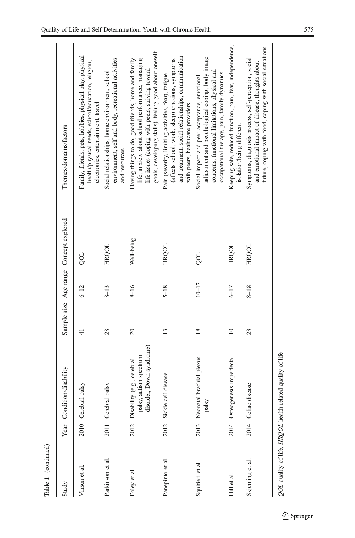| Table 1 (continued) |      |                                                                                  |                 |           |                                        |                                                                                                                                                                                                                    |
|---------------------|------|----------------------------------------------------------------------------------|-----------------|-----------|----------------------------------------|--------------------------------------------------------------------------------------------------------------------------------------------------------------------------------------------------------------------|
| Study               |      | Year Condition/disability                                                        |                 |           | Sample size Age range Concept explored | Themes/domains/factors                                                                                                                                                                                             |
| Vinson et al        |      | 2010 Cerebral palsy                                                              | $\frac{1}{4}$   | $6 - 12$  | QOL                                    | Family, friends, pets, hobbies, physical play, physical<br>health/physical needs, school/education, religion,<br>electronics, entertainment, travel                                                                |
| Parkinson et al.    | 2011 | Cerebral palsy                                                                   | 28              | $8 - 13$  | HRQOL                                  | environment, self and body, recreational activities<br>Social relationships, home environment, school<br>and resources                                                                                             |
| Foley et al.        | 2012 | palsy, autism spectrum<br>disorder, Down syndrome)<br>Disability (e.g., cerebral | 20              | $8 - 16$  | Well-being                             | goals, developing skills), feeling good about oneself<br>Having things to do, good friends, home and family<br>life, anxiety about school performance, managing<br>life issues (coping with peers, striving toward |
| Panepinto et al.    | 2012 | cell disease<br>Sickle                                                           | 13              | $5 - 18$  | HRQOL                                  | and treatment, social relationships, communication<br>(affects school, work, sleep) emotions, symptoms<br>Pain (severity, limiting activities, fear), fatigue<br>with peers, healthcare providers                  |
| Squitieri et al.    |      | 2013 Neonatal brachial plexus<br>palsy                                           | $\frac{8}{2}$   | $10 - 17$ | QOL                                    | adjustment and psychological coping, body image<br>concerns, functional limitations, physical and<br>occupational therapy, pain, family dynamics<br>Social impact and peer acceptance, emotional                   |
| Hill et al.         |      | 2014 Osteogenesis imperfecta                                                     | $\overline{10}$ | $6 - 17$  | HRQOL                                  | Keeping safe, reduced function, pain, fear, independence,<br>isolation/being different                                                                                                                             |
| Skjerning et al.    |      | 2014 Celiac disease                                                              | 23              | $8 - 18$  | HRQOL                                  | future, coping with food, coping with social situations<br>Symptoms, diagnosis process, self-perception, social<br>and emotional impact of disease, thoughts about                                                 |
|                     |      | QOL quality of life, HRQOL health-related quality of life                        |                 |           |                                        |                                                                                                                                                                                                                    |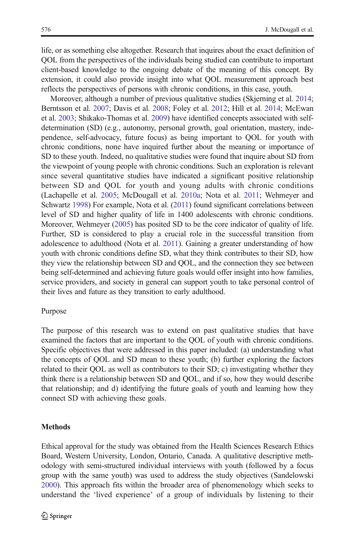life, or as something else altogether. Research that inquires about the exact definition of QOL from the perspectives of the individuals being studied can contribute to important client-based knowledge to the ongoing debate of the meaning of this concept. By extension, it could also provide insight into what QOL measurement approach best reflects the perspectives of persons with chronic conditions, in this case, youth.

Moreover, although a number of previous qualitative studies (Skjerning et al. [2014;](#page-29-0) Berntsson et al. [2007;](#page-27-0) Davis et al. [2008](#page-27-0); Foley et al. [2012](#page-28-0); Hill et al. [2014](#page-28-0); McEwan et al. [2003;](#page-28-0) Shikako-Thomas et al. [2009\)](#page-29-0) have identified concepts associated with selfdetermination (SD) (e.g., autonomy, personal growth, goal orientation, mastery, independence, self-advocacy, future focus) as being important to QOL for youth with chronic conditions, none have inquired further about the meaning or importance of SD to these youth. Indeed, no qualitative studies were found that inquire about SD from the viewpoint of young people with chronic conditions. Such an exploration is relevant since several quantitative studies have indicated a significant positive relationship between SD and QOL for youth and young adults with chronic conditions (Lachapelle et al. [2005;](#page-28-0) McDougall et al. [2010a;](#page-28-0) Nota et al. [2011](#page-29-0); Wehmeyer and Schwartz [1998](#page-30-0)) For example, Nota et al. ([2011\)](#page-29-0) found significant correlations between level of SD and higher quality of life in 1400 adolescents with chronic conditions. Moreover, Wehmeyer ([2005](#page-29-0)) has posited SD to be the core indicator of quality of life. Further, SD is considered to play a crucial role in the successful transition from adolescence to adulthood (Nota et al. [2011](#page-29-0)). Gaining a greater understanding of how youth with chronic conditions define SD, what they think contributes to their SD, how they view the relationship between SD and QOL, and the connection they see between being self-determined and achieving future goals would offer insight into how families, service providers, and society in general can support youth to take personal control of their lives and future as they transition to early adulthood.

#### Purpose

The purpose of this research was to extend on past qualitative studies that have examined the factors that are important to the QOL of youth with chronic conditions. Specific objectives that were addressed in this paper included: (a) understanding what the concepts of QOL and SD mean to these youth; (b) further exploring the factors related to their QOL as well as contributors to their SD; c) investigating whether they think there is a relationship between SD and QOL, and if so, how they would describe that relationship; and d) identifying the future goals of youth and learning how they connect SD with achieving these goals.

#### **Methods**

Ethical approval for the study was obtained from the Health Sciences Research Ethics Board, Western University, London, Ontario, Canada. A qualitative descriptive methodology with semi-structured individual interviews with youth (followed by a focus group with the same youth) was used to address the study objectives (Sandelowski [2000\)](#page-29-0). This approach fits within the broader area of phenomenology which seeks to understand the 'lived experience' of a group of individuals by listening to their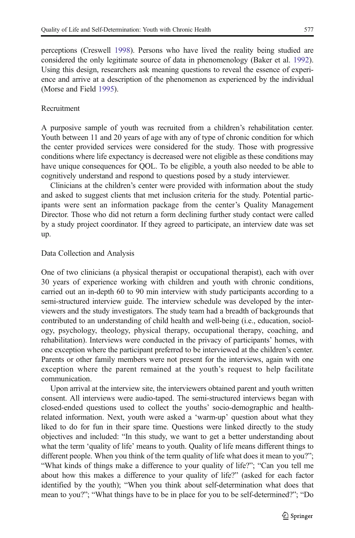perceptions (Creswell [1998](#page-27-0)). Persons who have lived the reality being studied are considered the only legitimate source of data in phenomenology (Baker et al. [1992\)](#page-27-0). Using this design, researchers ask meaning questions to reveal the essence of experience and arrive at a description of the phenomenon as experienced by the individual (Morse and Field [1995](#page-28-0)).

# Recruitment

A purposive sample of youth was recruited from a children's rehabilitation center. Youth between 11 and 20 years of age with any of type of chronic condition for which the center provided services were considered for the study. Those with progressive conditions where life expectancy is decreased were not eligible as these conditions may have unique consequences for QOL. To be eligible, a youth also needed to be able to cognitively understand and respond to questions posed by a study interviewer.

Clinicians at the children's center were provided with information about the study and asked to suggest clients that met inclusion criteria for the study. Potential participants were sent an information package from the center's Quality Management Director. Those who did not return a form declining further study contact were called by a study project coordinator. If they agreed to participate, an interview date was set up.

# Data Collection and Analysis

One of two clinicians (a physical therapist or occupational therapist), each with over 30 years of experience working with children and youth with chronic conditions, carried out an in-depth 60 to 90 min interview with study participants according to a semi-structured interview guide. The interview schedule was developed by the interviewers and the study investigators. The study team had a breadth of backgrounds that contributed to an understanding of child health and well-being (i.e., education, sociology, psychology, theology, physical therapy, occupational therapy, coaching, and rehabilitation). Interviews were conducted in the privacy of participants' homes, with one exception where the participant preferred to be interviewed at the children's center. Parents or other family members were not present for the interviews, again with one exception where the parent remained at the youth's request to help facilitate communication.

Upon arrival at the interview site, the interviewers obtained parent and youth written consent. All interviews were audio-taped. The semi-structured interviews began with closed-ended questions used to collect the youths' socio-demographic and healthrelated information. Next, youth were asked a 'warm-up' question about what they liked to do for fun in their spare time. Questions were linked directly to the study objectives and included: "In this study, we want to get a better understanding about what the term 'quality of life' means to youth. Quality of life means different things to different people. When you think of the term quality of life what does it mean to you?"; "What kinds of things make a difference to your quality of life?"; "Can you tell me about how this makes a difference to your quality of life?" (asked for each factor identified by the youth); "When you think about self-determination what does that mean to you?"; "What things have to be in place for you to be self-determined?"; "Do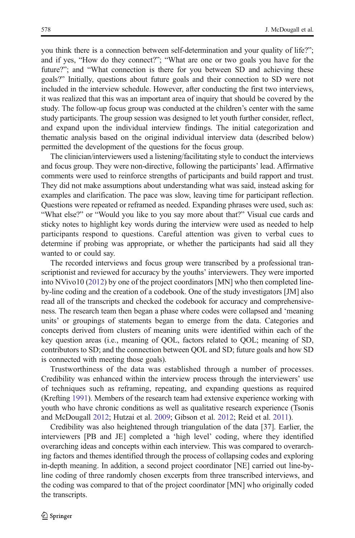you think there is a connection between self-determination and your quality of life?"; and if yes, "How do they connect?"; "What are one or two goals you have for the future?"; and "What connection is there for you between SD and achieving these goals?" Initially, questions about future goals and their connection to SD were not included in the interview schedule. However, after conducting the first two interviews, it was realized that this was an important area of inquiry that should be covered by the study. The follow-up focus group was conducted at the children's center with the same study participants. The group session was designed to let youth further consider, reflect, and expand upon the individual interview findings. The initial categorization and thematic analysis based on the original individual interview data (described below) permitted the development of the questions for the focus group.

The clinician/interviewers used a listening/facilitating style to conduct the interviews and focus group. They were non-directive, following the participants' lead. Affirmative comments were used to reinforce strengths of participants and build rapport and trust. They did not make assumptions about understanding what was said, instead asking for examples and clarification. The pace was slow, leaving time for participant reflection. Questions were repeated or reframed as needed. Expanding phrases were used, such as: "What else?" or "Would you like to you say more about that?" Visual cue cards and sticky notes to highlight key words during the interview were used as needed to help participants respond to questions. Careful attention was given to verbal cues to determine if probing was appropriate, or whether the participants had said all they wanted to or could say.

The recorded interviews and focus group were transcribed by a professional transcriptionist and reviewed for accuracy by the youths' interviewers. They were imported into NVivo10 [\(2012\)](#page-29-0) by one of the project coordinators [MN] who then completed lineby-line coding and the creation of a codebook. One of the study investigators [JM] also read all of the transcripts and checked the codebook for accuracy and comprehensiveness. The research team then began a phase where codes were collapsed and 'meaning units' or groupings of statements began to emerge from the data. Categories and concepts derived from clusters of meaning units were identified within each of the key question areas (i.e., meaning of QOL, factors related to QOL; meaning of SD, contributors to SD; and the connection between QOL and SD; future goals and how SD is connected with meeting those goals).

Trustworthiness of the data was established through a number of processes. Credibility was enhanced within the interview process through the interviewers' use of techniques such as reframing, repeating, and expanding questions as required (Krefting [1991\)](#page-28-0). Members of the research team had extensive experience working with youth who have chronic conditions as well as qualitative research experience (Tsonis and McDougall [2012;](#page-29-0) Hutzai et al. [2009;](#page-28-0) Gibson et al. [2012](#page-28-0); Reid et al. [2011](#page-29-0)).

Credibility was also heightened through triangulation of the data [37]. Earlier, the interviewers [PB and JE] completed a 'high level' coding, where they identified overarching ideas and concepts within each interview. This was compared to overarching factors and themes identified through the process of collapsing codes and exploring in-depth meaning. In addition, a second project coordinator [NE] carried out line-byline coding of three randomly chosen excerpts from three transcribed interviews, and the coding was compared to that of the project coordinator [MN] who originally coded the transcripts.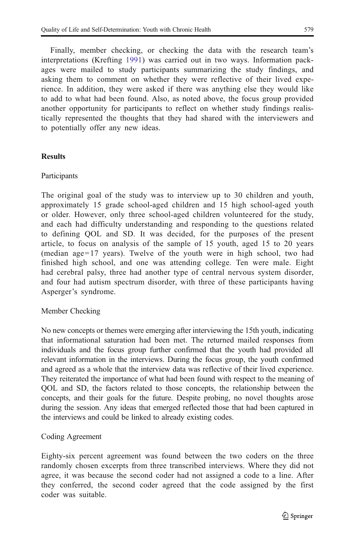Finally, member checking, or checking the data with the research team's interpretations (Krefting [1991](#page-28-0)) was carried out in two ways. Information packages were mailed to study participants summarizing the study findings, and asking them to comment on whether they were reflective of their lived experience. In addition, they were asked if there was anything else they would like to add to what had been found. Also, as noted above, the focus group provided another opportunity for participants to reflect on whether study findings realistically represented the thoughts that they had shared with the interviewers and to potentially offer any new ideas.

#### Results

#### Participants

The original goal of the study was to interview up to 30 children and youth, approximately 15 grade school-aged children and 15 high school-aged youth or older. However, only three school-aged children volunteered for the study, and each had difficulty understanding and responding to the questions related to defining QOL and SD. It was decided, for the purposes of the present article, to focus on analysis of the sample of 15 youth, aged 15 to 20 years (median age= 17 years). Twelve of the youth were in high school, two had finished high school, and one was attending college. Ten were male. Eight had cerebral palsy, three had another type of central nervous system disorder, and four had autism spectrum disorder, with three of these participants having Asperger's syndrome.

#### Member Checking

No new concepts or themes were emerging after interviewing the 15th youth, indicating that informational saturation had been met. The returned mailed responses from individuals and the focus group further confirmed that the youth had provided all relevant information in the interviews. During the focus group, the youth confirmed and agreed as a whole that the interview data was reflective of their lived experience. They reiterated the importance of what had been found with respect to the meaning of QOL and SD, the factors related to those concepts, the relationship between the concepts, and their goals for the future. Despite probing, no novel thoughts arose during the session. Any ideas that emerged reflected those that had been captured in the interviews and could be linked to already existing codes.

#### Coding Agreement

Eighty-six percent agreement was found between the two coders on the three randomly chosen excerpts from three transcribed interviews. Where they did not agree, it was because the second coder had not assigned a code to a line. After they conferred, the second coder agreed that the code assigned by the first coder was suitable.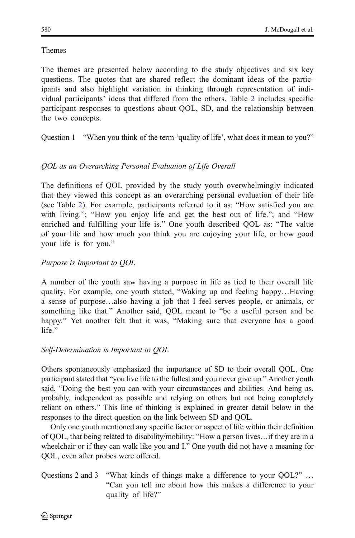# Themes

The themes are presented below according to the study objectives and six key questions. The quotes that are shared reflect the dominant ideas of the participants and also highlight variation in thinking through representation of individual participants' ideas that differed from the others. Table [2](#page-12-0) includes specific participant responses to questions about QOL, SD, and the relationship between the two concepts.

Question 1 "When you think of the term 'quality of life', what does it mean to you?"

# QOL as an Overarching Personal Evaluation of Life Overall

The definitions of QOL provided by the study youth overwhelmingly indicated that they viewed this concept as an overarching personal evaluation of their life (see Table [2](#page-12-0)). For example, participants referred to it as: "How satisfied you are with living."; "How you enjoy life and get the best out of life."; and "How enriched and fulfilling your life is." One youth described QOL as: "The value of your life and how much you think you are enjoying your life, or how good your life is for you."

# Purpose is Important to QOL

A number of the youth saw having a purpose in life as tied to their overall life quality. For example, one youth stated, "Waking up and feeling happy…Having a sense of purpose…also having a job that I feel serves people, or animals, or something like that." Another said, QOL meant to "be a useful person and be happy." Yet another felt that it was, "Making sure that everyone has a good life."

# Self-Determination is Important to QOL

Others spontaneously emphasized the importance of SD to their overall QOL. One participant stated that "you live life to the fullest and you never give up." Another youth said, "Doing the best you can with your circumstances and abilities. And being as, probably, independent as possible and relying on others but not being completely reliant on others." This line of thinking is explained in greater detail below in the responses to the direct question on the link between SD and QOL.

Only one youth mentioned any specific factor or aspect of life within their definition of QOL, that being related to disability/mobility: "How a person lives…if they are in a wheelchair or if they can walk like you and I." One youth did not have a meaning for QOL, even after probes were offered.

Questions 2 and 3 "What kinds of things make a difference to your QOL?" … "Can you tell me about how this makes a difference to your quality of life?"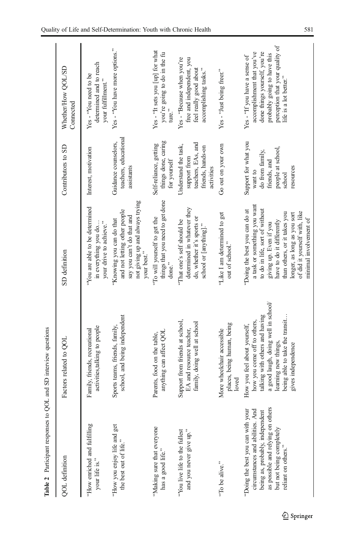<span id="page-12-0"></span>

| Table 2 Participant responses to QOL and SD interview questions                                                                                                                                  |                                                                                                                                                                                                                     |                                                                                                                                                                                                                                                                                  |                                                                                                                |                                                                                                                                                                                         |
|--------------------------------------------------------------------------------------------------------------------------------------------------------------------------------------------------|---------------------------------------------------------------------------------------------------------------------------------------------------------------------------------------------------------------------|----------------------------------------------------------------------------------------------------------------------------------------------------------------------------------------------------------------------------------------------------------------------------------|----------------------------------------------------------------------------------------------------------------|-----------------------------------------------------------------------------------------------------------------------------------------------------------------------------------------|
| QOL definition                                                                                                                                                                                   | Factors related to QOL                                                                                                                                                                                              | SD definition                                                                                                                                                                                                                                                                    | Contributors to SD                                                                                             | Whether/How QOL/SD<br>Connected                                                                                                                                                         |
| "How enriched and fulfilling<br>your life is."                                                                                                                                                   | activities, talking to people<br>Family, friends, recreational                                                                                                                                                      | "You are able to be determined<br>your drive to achieve."<br>in everything you do                                                                                                                                                                                                | Interest, motivation                                                                                           | determined and to reach<br>Yes - "You need to be<br>your fulfillment."                                                                                                                  |
| et. How you enjoy life and get<br>the best out of life."                                                                                                                                         | school, and being independent<br>Sports teams, friends, family,                                                                                                                                                     | not giving up and always trying<br>and not letting other people<br>say you can't do that and<br>'Knowing you can do that<br>your best."                                                                                                                                          | teachers, educational<br>Guidance counselors,<br>assistants                                                    | Yes - "You have more options."                                                                                                                                                          |
| "Making sure that everyone<br>has a good life."                                                                                                                                                  | anything can affect QOL<br>Parents, food on the table,                                                                                                                                                              | things that you need to get done<br>"To will yourself to get the<br>done."                                                                                                                                                                                                       | things done, caring<br>Self-reliance, getting<br>for yourself                                                  | Yes - "It sets you [up] for what<br>you're going to do in the fu<br>ture."                                                                                                              |
| "You live life to the fullest<br>and you never give up."                                                                                                                                         | Support from friends at school,<br>family, doing well at school<br>EA and resource teacher,                                                                                                                         | determined in whatever they<br>do, whether it's sports or<br>"That one's self should be<br>school or [anything]."                                                                                                                                                                | teachers, EAs, and<br>Understand the task,<br>friends, hands-on<br>support from<br>activities                  | Yes - "Because when you're<br>free and independent, you<br>feel really good about<br>accomplishing tasks."                                                                              |
| "To be alive."                                                                                                                                                                                   | places, being human, being<br>More wheelchair accessible<br>loved                                                                                                                                                   | "Like I am determined to get<br>out of school."                                                                                                                                                                                                                                  | Go out on your own                                                                                             | Yes - "Just being freer."                                                                                                                                                               |
| as possible and relying on others<br>"Doing the best you can with your<br>circumstances and abilities. And<br>being as, probably, independent<br>but not being completely<br>reliant on others." | a good laugh, doing well in school<br>talking with others and having<br>being able to take the transit<br>how you come off to others,<br>How you feel about yourself,<br>learning new things,<br>gives independence | a task or something you want<br>to do in life, sort of without<br>"Doing the best you can do at<br>of did it yourself with, like<br>than others, or it takes you<br>longer, as long as you sort<br>minimal involvement of<br>have to do it differently<br>giving up. Even if you | Support for what you<br>people at school,<br>do from family,<br>friends, and<br>resources<br>want to<br>school | perception that your quality of<br>accomplishment that you've<br>done things yourself, you're<br>probably going to have this<br>Yes - "If you have a sense of<br>life is a lot better." |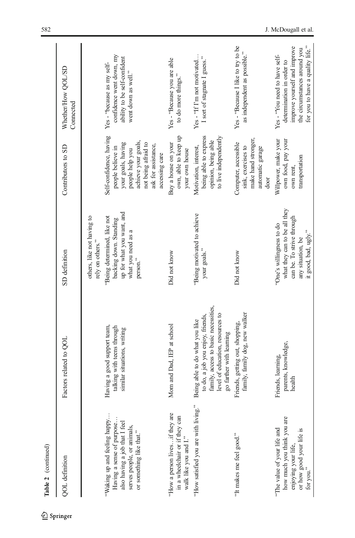| QOL definition                                                                                                                                       | Factors related to QOL                                                                                                                                                     | SD definition                                                                                                                                                          | Contributors to SD                                                                                                                                                           | Whether/How QOL/SD<br>Connected                                                                                                                                |
|------------------------------------------------------------------------------------------------------------------------------------------------------|----------------------------------------------------------------------------------------------------------------------------------------------------------------------------|------------------------------------------------------------------------------------------------------------------------------------------------------------------------|------------------------------------------------------------------------------------------------------------------------------------------------------------------------------|----------------------------------------------------------------------------------------------------------------------------------------------------------------|
| "Waking up and feeling happy<br>Having a sense of purpose<br>also having a job that I feel<br>serves people, or animals,<br>or something like that." | Having a good support team,<br>talking with teens through<br>similar situations, writing                                                                                   | up for what you want, and<br>others, like not having to<br>"Being determined, like not<br>backing down. Standing<br>what you need as a<br>rely on others."<br>person." | Self-confidence, having<br>achieve your goals,<br>not being afraid to<br>your goals, having<br>ask for assistance,<br>people believe in<br>people help you<br>accessing care | confidence went down, my<br>ability to be self-confident<br>Yes - "because as my self-<br>went down as well."                                                  |
| "How a person livesif they are<br>in a wheelchair or if they can<br>walk like you and I."                                                            | Mom and Dad, IEP at school                                                                                                                                                 | Did not know                                                                                                                                                           | own, able to keep up<br>Buy a house on your<br>your own house                                                                                                                | Yes - "Because you are able<br>to do more things."                                                                                                             |
| "How satisfied you are with living."                                                                                                                 | family, access to basic necessities,<br>level of education, resources to<br>to do, a job you enjoy, friends,<br>Being able to do what you like<br>go farther with learning | "Being motivated to achieve<br>your goals."                                                                                                                            | being able to express<br>to live independently<br>opinion, being able<br>Motivation, interest,                                                                               | Yes - "If I'm not motivated<br>I sort of stagnate I guess."                                                                                                    |
| "It makes me feel good."                                                                                                                             | family, family dog, new walker<br>Friends, getting out, shopping,                                                                                                          | Did not know                                                                                                                                                           | make hand stronger,<br>Computer, accessible<br>sink, exercises to<br>automatic garage<br>door                                                                                | Yes - "Because I like to try to be<br>as independent as possible."                                                                                             |
| how much you think you are<br>"The value of your life and<br>or how good your life is<br>for you."<br>enjoying your life,                            | parents, knowledge,<br>Friends, learning,<br>health                                                                                                                        | what they can to be all they<br>can be. To strive through<br>"One's willingness to do<br>it good, bad, ugly."<br>any situation, be                                     | Willpower, make your<br>own food, pay your<br>transportation<br>own rent,                                                                                                    | for you to have a quality life."<br>improve yourself and improve<br>the circumstances around you<br>Yes - "You need to have self-<br>determination in order to |

Table 2 (continued)

Table 2 (continued)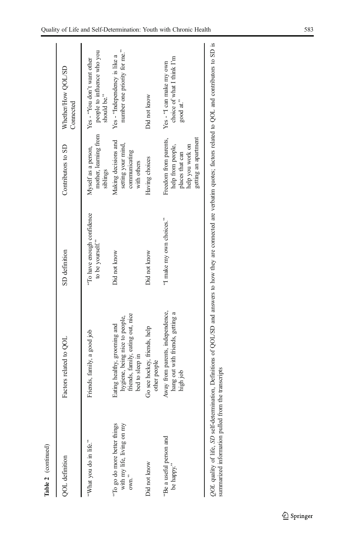| <b>QOL</b> definition                                              | Factors related to OOL                                                                                                 | SD definition                                  | Contributors to SD                                                                                        | Whether/How QOL/SD<br>Connected                                           |
|--------------------------------------------------------------------|------------------------------------------------------------------------------------------------------------------------|------------------------------------------------|-----------------------------------------------------------------------------------------------------------|---------------------------------------------------------------------------|
| "What you do in life."                                             | Friends, family, a good job                                                                                            | "To have enough confidence<br>to be yourself." | mother, learning from<br>Myself as a person,<br>siblings                                                  | people to influence who you<br>Yes - "You don't want other<br>should be." |
| To go do more better things<br>with my life, living on my<br>own." | friends, family, eating out, nice<br>hygiene, being nice to people,<br>Eating healthy, grooming and<br>bed to sleep in | Did not know                                   | Making decisions and<br>setting your mind,<br>communicating<br>with others                                | number one priority for me."<br>Yes - "Independency is like a             |
| <b>Did not know</b>                                                | Go see hockey, friends, help<br>other people                                                                           | Did not know                                   | Having choices                                                                                            | Did not know                                                              |
| Be a useful person and<br>be happy."                               | Away from parents, independence,<br>hang out with friends, getting a<br>high job                                       | "I make my own choices."                       | getting an apartment<br>Freedom from parents,<br>help from people,<br>help you work on<br>places that can | choice of what I think I'm<br>Yes - "I can make my own<br>good at."       |

Table 2 (continued)

Table 2 (continued)

QOL quality of life, SD self-determination, Definitions of QOL/SD and answers to how they are connected are verbatim quotes; factors related to QOL and contributors to SD is summarized information pulled from the transcrip QOL quality of life, SD self-determination, Definitions of QOL/SD and answers to how they are connected are verbatim quotes; factors related to QOL and contributors to SD is summarized information pulled from the transcripts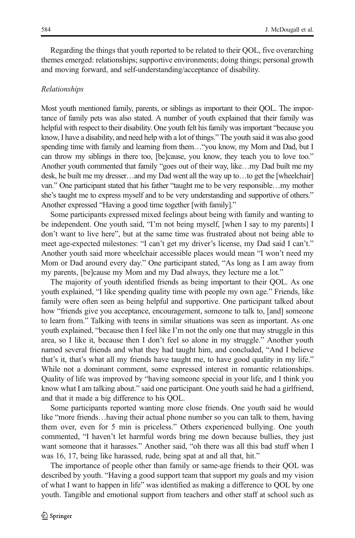Regarding the things that youth reported to be related to their QOL, five overarching themes emerged: relationships; supportive environments; doing things; personal growth and moving forward, and self-understanding/acceptance of disability.

#### Relationships

Most youth mentioned family, parents, or siblings as important to their QOL. The importance of family pets was also stated. A number of youth explained that their family was helpful with respect to their disability. One youth felt his family was important "because you know, I have a disability, and need help with a lot of things." The youth said it was also good spending time with family and learning from them... "you know, my Mom and Dad, but I can throw my siblings in there too, [be]cause, you know, they teach you to love too." Another youth commented that family "goes out of their way, like…my Dad built me my desk, he built me my dresser…and my Dad went all the way up to…to get the [wheelchair] van." One participant stated that his father "taught me to be very responsible…my mother she's taught me to express myself and to be very understanding and supportive of others." Another expressed "Having a good time together [with family]."

Some participants expressed mixed feelings about being with family and wanting to be independent. One youth said, "I'm not being myself, [when I say to my parents] I don't want to live here", but at the same time was frustrated about not being able to meet age-expected milestones: "I can't get my driver's license, my Dad said I can't." Another youth said more wheelchair accessible places would mean "I won't need my Mom or Dad around every day." One participant stated, "As long as I am away from my parents, [be]cause my Mom and my Dad always, they lecture me a lot."

The majority of youth identified friends as being important to their QOL. As one youth explained, "I like spending quality time with people my own age." Friends, like family were often seen as being helpful and supportive. One participant talked about how "friends give you acceptance, encouragement, someone to talk to, [and] someone to learn from." Talking with teens in similar situations was seen as important. As one youth explained, "because then I feel like I'm not the only one that may struggle in this area, so I like it, because then I don't feel so alone in my struggle." Another youth named several friends and what they had taught him, and concluded, "And I believe that's it, that's what all my friends have taught me, to have good quality in my life." While not a dominant comment, some expressed interest in romantic relationships. Quality of life was improved by "having someone special in your life, and I think you know what I am talking about." said one participant. One youth said he had a girlfriend, and that it made a big difference to his QOL.

Some participants reported wanting more close friends. One youth said he would like "more friends…having their actual phone number so you can talk to them, having them over, even for 5 min is priceless." Others experienced bullying. One youth commented, "I haven't let harmful words bring me down because bullies, they just want someone that it harasses." Another said, "oh there was all this bad stuff when I was 16, 17, being like harassed, rude, being spat at and all that, hit."

The importance of people other than family or same-age friends to their QOL was described by youth. "Having a good support team that support my goals and my vision of what I want to happen in life" was identified as making a difference to QOL by one youth. Tangible and emotional support from teachers and other staff at school such as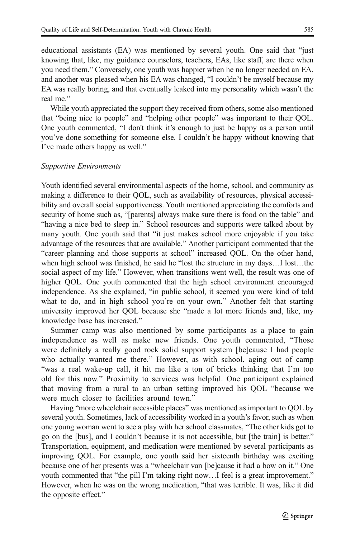educational assistants (EA) was mentioned by several youth. One said that "just knowing that, like, my guidance counselors, teachers, EAs, like staff, are there when you need them." Conversely, one youth was happier when he no longer needed an EA, and another was pleased when his EA was changed, "I couldn't be myself because my EA was really boring, and that eventually leaked into my personality which wasn't the real me."

While youth appreciated the support they received from others, some also mentioned that "being nice to people" and "helping other people" was important to their QOL. One youth commented, "I don't think it's enough to just be happy as a person until you've done something for someone else. I couldn't be happy without knowing that I've made others happy as well."

#### Supportive Environments

Youth identified several environmental aspects of the home, school, and community as making a difference to their QOL, such as availability of resources, physical accessibility and overall social supportiveness. Youth mentioned appreciating the comforts and security of home such as, "[parents] always make sure there is food on the table" and "having a nice bed to sleep in." School resources and supports were talked about by many youth. One youth said that "it just makes school more enjoyable if you take advantage of the resources that are available." Another participant commented that the "career planning and those supports at school" increased QOL. On the other hand, when high school was finished, he said he "lost the structure in my days...I lost...the social aspect of my life." However, when transitions went well, the result was one of higher QOL. One youth commented that the high school environment encouraged independence. As she explained, "in public school, it seemed you were kind of told what to do, and in high school you're on your own." Another felt that starting university improved her QOL because she "made a lot more friends and, like, my knowledge base has increased."

Summer camp was also mentioned by some participants as a place to gain independence as well as make new friends. One youth commented, "Those were definitely a really good rock solid support system [be]cause I had people who actually wanted me there." However, as with school, aging out of camp "was a real wake-up call, it hit me like a ton of bricks thinking that I'm too old for this now." Proximity to services was helpful. One participant explained that moving from a rural to an urban setting improved his QOL "because we were much closer to facilities around town."

Having "more wheelchair accessible places" was mentioned as important to QOL by several youth. Sometimes, lack of accessibility worked in a youth's favor, such as when one young woman went to see a play with her school classmates, "The other kids got to go on the [bus], and I couldn't because it is not accessible, but [the train] is better." Transportation, equipment, and medication were mentioned by several participants as improving QOL. For example, one youth said her sixteenth birthday was exciting because one of her presents was a "wheelchair van [be]cause it had a bow on it." One youth commented that "the pill I'm taking right now…I feel is a great improvement." However, when he was on the wrong medication, "that was terrible. It was, like it did the opposite effect."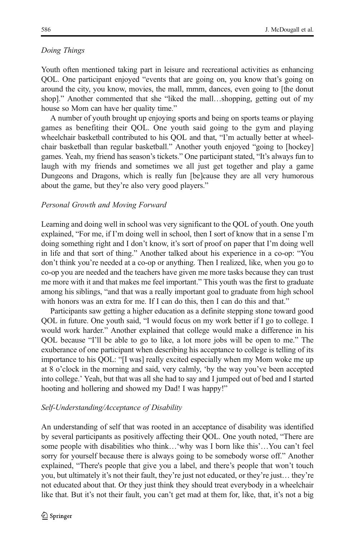#### Doing Things

Youth often mentioned taking part in leisure and recreational activities as enhancing QOL. One participant enjoyed "events that are going on, you know that's going on around the city, you know, movies, the mall, mmm, dances, even going to [the donut shop]." Another commented that she "liked the mall...shopping, getting out of my house so Mom can have her quality time."

A number of youth brought up enjoying sports and being on sports teams or playing games as benefiting their QOL. One youth said going to the gym and playing wheelchair basketball contributed to his QOL and that, "I'm actually better at wheelchair basketball than regular basketball." Another youth enjoyed "going to [hockey] games. Yeah, my friend has season's tickets." One participant stated, "It's always fun to laugh with my friends and sometimes we all just get together and play a game Dungeons and Dragons, which is really fun [be]cause they are all very humorous about the game, but they're also very good players."

#### Personal Growth and Moving Forward

Learning and doing well in school was very significant to the QOL of youth. One youth explained, "For me, if I'm doing well in school, then I sort of know that in a sense I'm doing something right and I don't know, it's sort of proof on paper that I'm doing well in life and that sort of thing." Another talked about his experience in a co-op: "You don't think you're needed at a co-op or anything. Then I realized, like, when you go to co-op you are needed and the teachers have given me more tasks because they can trust me more with it and that makes me feel important." This youth was the first to graduate among his siblings, "and that was a really important goal to graduate from high school with honors was an extra for me. If I can do this, then I can do this and that."

Participants saw getting a higher education as a definite stepping stone toward good QOL in future. One youth said, "I would focus on my work better if I go to college. I would work harder." Another explained that college would make a difference in his QOL because "I'll be able to go to like, a lot more jobs will be open to me." The exuberance of one participant when describing his acceptance to college is telling of its importance to his QOL: "[I was] really excited especially when my Mom woke me up at 8 o'clock in the morning and said, very calmly, 'by the way you've been accepted into college.' Yeah, but that was all she had to say and I jumped out of bed and I started hooting and hollering and showed my Dad! I was happy!"

#### Self-Understanding/Acceptance of Disability

An understanding of self that was rooted in an acceptance of disability was identified by several participants as positively affecting their QOL. One youth noted, "There are some people with disabilities who think…'why was I born like this'…You can't feel sorry for yourself because there is always going to be somebody worse off." Another explained, "There's people that give you a label, and there's people that won't touch you, but ultimately it's not their fault, they're just not educated, or they're just… they're not educated about that. Or they just think they should treat everybody in a wheelchair like that. But it's not their fault, you can't get mad at them for, like, that, it's not a big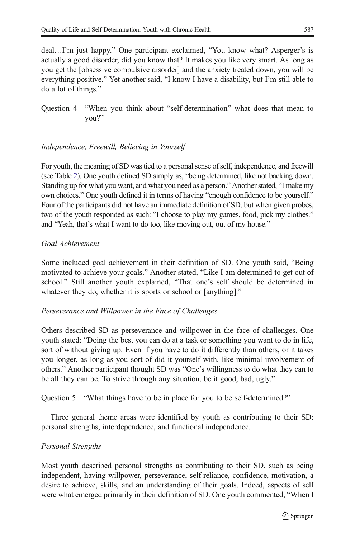deal…I'm just happy." One participant exclaimed, "You know what? Asperger's is actually a good disorder, did you know that? It makes you like very smart. As long as you get the [obsessive compulsive disorder] and the anxiety treated down, you will be everything positive." Yet another said, "I know I have a disability, but I'm still able to do a lot of things."

Question 4 "When you think about "self-determination" what does that mean to you?"

# Independence, Freewill, Believing in Yourself

For youth, the meaning of SD was tied to a personal sense of self, independence, and freewill (see Table [2\)](#page-12-0). One youth defined SD simply as, "being determined, like not backing down. Standing up for what you want, and what you need as a person." Another stated, "I make my own choices." One youth defined it in terms of having "enough confidence to be yourself." Four of the participants did not have an immediate definition of SD, but when given probes, two of the youth responded as such: "I choose to play my games, food, pick my clothes." and "Yeah, that's what I want to do too, like moving out, out of my house."

# Goal Achievement

Some included goal achievement in their definition of SD. One youth said, "Being motivated to achieve your goals." Another stated, "Like I am determined to get out of school." Still another youth explained, "That one's self should be determined in whatever they do, whether it is sports or school or [anything]."

#### Perseverance and Willpower in the Face of Challenges

Others described SD as perseverance and willpower in the face of challenges. One youth stated: "Doing the best you can do at a task or something you want to do in life, sort of without giving up. Even if you have to do it differently than others, or it takes you longer, as long as you sort of did it yourself with, like minimal involvement of others." Another participant thought SD was "One's willingness to do what they can to be all they can be. To strive through any situation, be it good, bad, ugly."

Question 5 "What things have to be in place for you to be self-determined?"

Three general theme areas were identified by youth as contributing to their SD: personal strengths, interdependence, and functional independence.

# Personal Strengths

Most youth described personal strengths as contributing to their SD, such as being independent, having willpower, perseverance, self-reliance, confidence, motivation, a desire to achieve, skills, and an understanding of their goals. Indeed, aspects of self were what emerged primarily in their definition of SD. One youth commented, "When I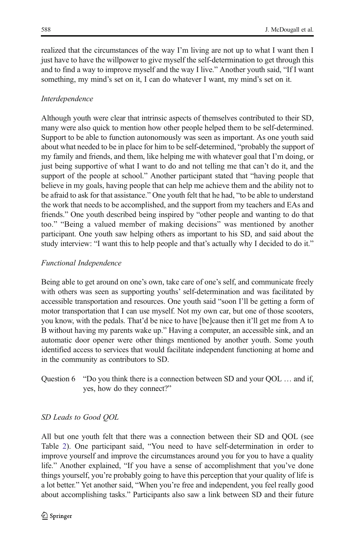realized that the circumstances of the way I'm living are not up to what I want then I just have to have the willpower to give myself the self-determination to get through this and to find a way to improve myself and the way I live." Another youth said, "If I want something, my mind's set on it, I can do whatever I want, my mind's set on it.

# Interdependence

Although youth were clear that intrinsic aspects of themselves contributed to their SD, many were also quick to mention how other people helped them to be self-determined. Support to be able to function autonomously was seen as important. As one youth said about what needed to be in place for him to be self-determined, "probably the support of my family and friends, and them, like helping me with whatever goal that I'm doing, or just being supportive of what I want to do and not telling me that can't do it, and the support of the people at school." Another participant stated that "having people that believe in my goals, having people that can help me achieve them and the ability not to be afraid to ask for that assistance." One youth felt that he had, "to be able to understand the work that needs to be accomplished, and the support from my teachers and EAs and friends." One youth described being inspired by "other people and wanting to do that too." "Being a valued member of making decisions" was mentioned by another participant. One youth saw helping others as important to his SD, and said about the study interview: "I want this to help people and that's actually why I decided to do it."

# Functional Independence

Being able to get around on one's own, take care of one's self, and communicate freely with others was seen as supporting youths' self-determination and was facilitated by accessible transportation and resources. One youth said "soon I'll be getting a form of motor transportation that I can use myself. Not my own car, but one of those scooters, you know, with the pedals. That'd be nice to have [be]cause then it'll get me from A to B without having my parents wake up." Having a computer, an accessible sink, and an automatic door opener were other things mentioned by another youth. Some youth identified access to services that would facilitate independent functioning at home and in the community as contributors to SD.

Question 6 "Do you think there is a connection between SD and your QOL … and if, yes, how do they connect?"

# SD Leads to Good QOL

All but one youth felt that there was a connection between their SD and QOL (see Table [2](#page-12-0)). One participant said, "You need to have self-determination in order to improve yourself and improve the circumstances around you for you to have a quality life." Another explained, "If you have a sense of accomplishment that you've done things yourself, you're probably going to have this perception that your quality of life is a lot better." Yet another said, "When you're free and independent, you feel really good about accomplishing tasks." Participants also saw a link between SD and their future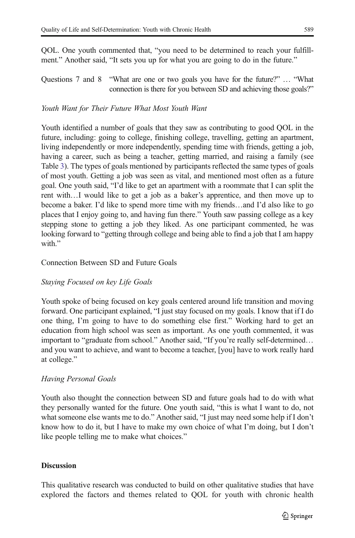QOL. One youth commented that, "you need to be determined to reach your fulfillment." Another said, "It sets you up for what you are going to do in the future."

Questions 7 and 8 "What are one or two goals you have for the future?"…"What connection is there for you between SD and achieving those goals?"

# Youth Want for Their Future What Most Youth Want

Youth identified a number of goals that they saw as contributing to good QOL in the future, including: going to college, finishing college, travelling, getting an apartment, living independently or more independently, spending time with friends, getting a job, having a career, such as being a teacher, getting married, and raising a family (see Table [3\)](#page-21-0). The types of goals mentioned by participants reflected the same types of goals of most youth. Getting a job was seen as vital, and mentioned most often as a future goal. One youth said, "I'd like to get an apartment with a roommate that I can split the rent with…I would like to get a job as a baker's apprentice, and then move up to become a baker. I'd like to spend more time with my friends…and I'd also like to go places that I enjoy going to, and having fun there." Youth saw passing college as a key stepping stone to getting a job they liked. As one participant commented, he was looking forward to "getting through college and being able to find a job that I am happy with."

# Connection Between SD and Future Goals

# Staying Focused on key Life Goals

Youth spoke of being focused on key goals centered around life transition and moving forward. One participant explained, "I just stay focused on my goals. I know that if I do one thing, I'm going to have to do something else first." Working hard to get an education from high school was seen as important. As one youth commented, it was important to "graduate from school." Another said, "If you're really self-determined… and you want to achieve, and want to become a teacher, [you] have to work really hard at college."

# Having Personal Goals

Youth also thought the connection between SD and future goals had to do with what they personally wanted for the future. One youth said, "this is what I want to do, not what someone else wants me to do." Another said, "I just may need some help if I don't know how to do it, but I have to make my own choice of what I'm doing, but I don't like people telling me to make what choices."

#### **Discussion**

This qualitative research was conducted to build on other qualitative studies that have explored the factors and themes related to QOL for youth with chronic health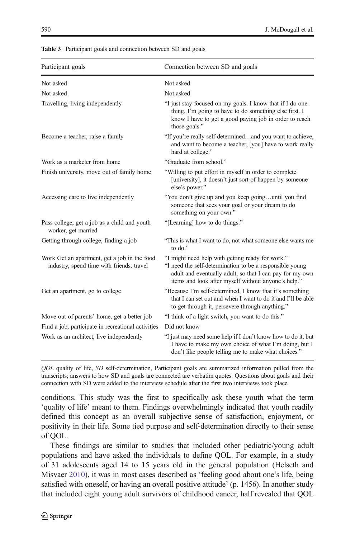<span id="page-21-0"></span>

| <b>Table 3</b> Participant goals and connection between SD and goals |
|----------------------------------------------------------------------|
|                                                                      |

| Participant goals                                                                         | Connection between SD and goals                                                                                                                                                                                                 |
|-------------------------------------------------------------------------------------------|---------------------------------------------------------------------------------------------------------------------------------------------------------------------------------------------------------------------------------|
| Not asked                                                                                 | Not asked                                                                                                                                                                                                                       |
| Not asked                                                                                 | Not asked                                                                                                                                                                                                                       |
| Travelling, living independently                                                          | "I just stay focused on my goals. I know that if I do one<br>thing, I'm going to have to do something else first. I<br>know I have to get a good paying job in order to reach<br>those goals."                                  |
| Become a teacher, raise a family                                                          | "If you're really self-determinedand you want to achieve,<br>and want to become a teacher, [you] have to work really<br>hard at college."                                                                                       |
| Work as a marketer from home                                                              | "Graduate from school."                                                                                                                                                                                                         |
| Finish university, move out of family home                                                | "Willing to put effort in myself in order to complete<br>[university], it doesn't just sort of happen by someone<br>else's power."                                                                                              |
| Accessing care to live independently                                                      | "You don't give up and you keep goinguntil you find<br>someone that sees your goal or your dream to do<br>something on your own."                                                                                               |
| Pass college, get a job as a child and youth<br>worker, get married                       | "[Learning] how to do things."                                                                                                                                                                                                  |
| Getting through college, finding a job                                                    | "This is what I want to do, not what someone else wants me<br>to do."                                                                                                                                                           |
| Work Get an apartment, get a job in the food<br>industry, spend time with friends, travel | "I might need help with getting ready for work."<br>"I need the self-determination to be a responsible young<br>adult and eventually adult, so that I can pay for my own<br>items and look after myself without anyone's help." |
| Get an apartment, go to college                                                           | "Because I'm self-determined, I know that it's something<br>that I can set out and when I want to do it and I'll be able<br>to get through it, persevere through anything."                                                     |
| Move out of parents' home, get a better job                                               | "I think of a light switch, you want to do this."                                                                                                                                                                               |
| Find a job, participate in recreational activities                                        | Did not know                                                                                                                                                                                                                    |
| Work as an architect, live independently                                                  | "I just may need some help if I don't know how to do it, but<br>I have to make my own choice of what I'm doing, but I<br>don't like people telling me to make what choices."                                                    |

QOL quality of life, SD self-determination, Participant goals are summarized information pulled from the transcripts; answers to how SD and goals are connected are verbatim quotes. Questions about goals and their connection with SD were added to the interview schedule after the first two interviews took place

conditions. This study was the first to specifically ask these youth what the term 'quality of life' meant to them. Findings overwhelmingly indicated that youth readily defined this concept as an overall subjective sense of satisfaction, enjoyment, or positivity in their life. Some tied purpose and self-determination directly to their sense of QOL.

These findings are similar to studies that included other pediatric/young adult populations and have asked the individuals to define QOL. For example, in a study of 31 adolescents aged 14 to 15 years old in the general population (Helseth and Misvaer [2010](#page-28-0)), it was in most cases described as 'feeling good about one's life, being satisfied with oneself, or having an overall positive attitude' (p. 1456). In another study that included eight young adult survivors of childhood cancer, half revealed that QOL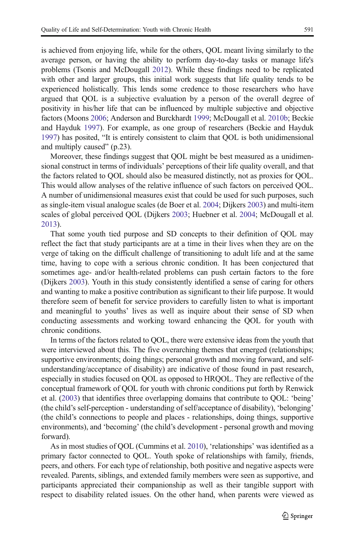is achieved from enjoying life, while for the others, QOL meant living similarly to the average person, or having the ability to perform day-to-day tasks or manage life's problems (Tsonis and McDougall [2012](#page-29-0)). While these findings need to be replicated with other and larger groups, this initial work suggests that life quality tends to be experienced holistically. This lends some credence to those researchers who have argued that QOL is a subjective evaluation by a person of the overall degree of positivity in his/her life that can be influenced by multiple subjective and objective factors (Moons [2006;](#page-28-0) Anderson and Burckhardt [1999](#page-27-0); McDougall et al. [2010b](#page-28-0); Beckie and Hayduk [1997\)](#page-27-0). For example, as one group of researchers (Beckie and Hayduk [1997\)](#page-27-0) has posited, "It is entirely consistent to claim that QOL is both unidimensional and multiply caused" (p.23).

Moreover, these findings suggest that QOL might be best measured as a unidimensional construct in terms of individuals' perceptions of their life quality overall, and that the factors related to QOL should also be measured distinctly, not as proxies for QOL. This would allow analyses of the relative influence of such factors on perceived QOL. A number of unidimensional measures exist that could be used for such purposes, such as single-item visual analogue scales (de Boer et al. [2004;](#page-27-0) Dijkers [2003\)](#page-27-0) and multi-item scales of global perceived QOL (Dijkers [2003;](#page-27-0) Huebner et al. [2004](#page-28-0); McDougall et al. [2013\)](#page-28-0).

That some youth tied purpose and SD concepts to their definition of QOL may reflect the fact that study participants are at a time in their lives when they are on the verge of taking on the difficult challenge of transitioning to adult life and at the same time, having to cope with a serious chronic condition. It has been conjectured that sometimes age- and/or health-related problems can push certain factors to the fore (Dijkers [2003](#page-27-0)). Youth in this study consistently identified a sense of caring for others and wanting to make a positive contribution as significant to their life purpose. It would therefore seem of benefit for service providers to carefully listen to what is important and meaningful to youths' lives as well as inquire about their sense of SD when conducting assessments and working toward enhancing the QOL for youth with chronic conditions.

In terms of the factors related to QOL, there were extensive ideas from the youth that were interviewed about this. The five overarching themes that emerged (relationships; supportive environments; doing things; personal growth and moving forward, and selfunderstanding/acceptance of disability) are indicative of those found in past research, especially in studies focused on QOL as opposed to HRQOL. They are reflective of the conceptual framework of QOL for youth with chronic conditions put forth by Renwick et al. [\(2003\)](#page-29-0) that identifies three overlapping domains that contribute to QOL: 'being' (the child's self-perception - understanding of self/acceptance of disability), 'belonging' (the child's connections to people and places - relationships, doing things, supportive environments), and 'becoming' (the child's development - personal growth and moving forward).

As in most studies of QOL (Cummins et al. [2010\)](#page-27-0), 'relationships' was identified as a primary factor connected to QOL. Youth spoke of relationships with family, friends, peers, and others. For each type of relationship, both positive and negative aspects were revealed. Parents, siblings, and extended family members were seen as supportive, and participants appreciated their companionship as well as their tangible support with respect to disability related issues. On the other hand, when parents were viewed as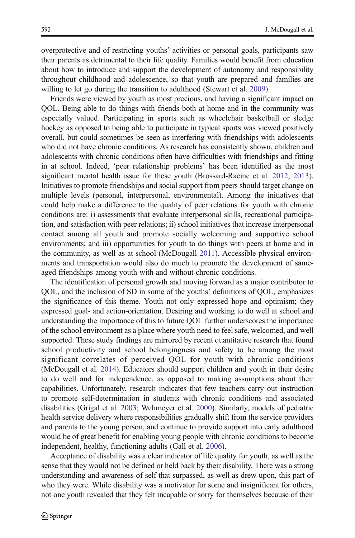overprotective and of restricting youths' activities or personal goals, participants saw their parents as detrimental to their life quality. Families would benefit from education about how to introduce and support the development of autonomy and responsibility throughout childhood and adolescence, so that youth are prepared and families are willing to let go during the transition to adulthood (Stewart et al. [2009\)](#page-29-0).

Friends were viewed by youth as most precious, and having a significant impact on QOL. Being able to do things with friends both at home and in the community was especially valued. Participating in sports such as wheelchair basketball or sledge hockey as opposed to being able to participate in typical sports was viewed positively overall, but could sometimes be seen as interfering with friendships with adolescents who did not have chronic conditions. As research has consistently shown, children and adolescents with chronic conditions often have difficulties with friendships and fitting in at school. Indeed, 'peer relationship problems' has been identified as the most significant mental health issue for these youth (Brossard-Racine et al. [2012,](#page-27-0) [2013\)](#page-27-0). Initiatives to promote friendships and social support from peers should target change on multiple levels (personal, interpersonal, environmental). Among the initiatives that could help make a difference to the quality of peer relations for youth with chronic conditions are: i) assessments that evaluate interpersonal skills, recreational participation, and satisfaction with peer relations; ii) school initiatives that increase interpersonal contact among all youth and promote socially welcoming and supportive school environments; and iii) opportunities for youth to do things with peers at home and in the community, as well as at school (McDougall [2011](#page-28-0)). Accessible physical environments and transportation would also do much to promote the development of sameaged friendships among youth with and without chronic conditions.

The identification of personal growth and moving forward as a major contributor to QOL, and the inclusion of SD in some of the youths' definitions of QOL, emphasizes the significance of this theme. Youth not only expressed hope and optimism; they expressed goal- and action-orientation. Desiring and working to do well at school and understanding the importance of this to future QOL further underscores the importance of the school environment as a place where youth need to feel safe, welcomed, and well supported. These study findings are mirrored by recent quantitative research that found school productivity and school belongingness and safety to be among the most significant correlates of perceived QOL for youth with chronic conditions (McDougall et al. [2014\)](#page-28-0). Educators should support children and youth in their desire to do well and for independence, as opposed to making assumptions about their capabilities. Unfortunately, research indicates that few teachers carry out instruction to promote self-determination in students with chronic conditions and associated disabilities (Grigal et al. [2003](#page-28-0); Wehmeyer et al. [2000](#page-30-0)). Similarly, models of pediatric health service delivery where responsibilities gradually shift from the service providers and parents to the young person, and continue to provide support into early adulthood would be of great benefit for enabling young people with chronic conditions to become independent, healthy, functioning adults (Gall et al. [2006\)](#page-28-0).

Acceptance of disability was a clear indicator of life quality for youth, as well as the sense that they would not be defined or held back by their disability. There was a strong understanding and awareness of self that surpassed, as well as drew upon, this part of who they were. While disability was a motivator for some and insignificant for others, not one youth revealed that they felt incapable or sorry for themselves because of their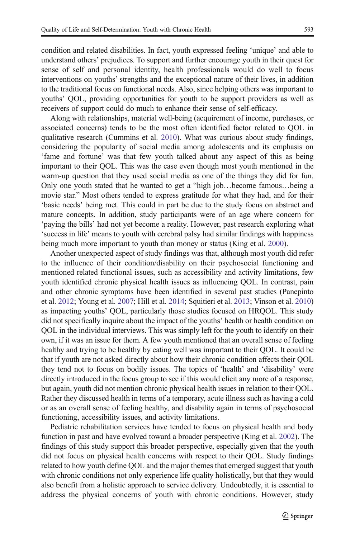condition and related disabilities. In fact, youth expressed feeling 'unique' and able to understand others' prejudices. To support and further encourage youth in their quest for sense of self and personal identity, health professionals would do well to focus interventions on youths' strengths and the exceptional nature of their lives, in addition to the traditional focus on functional needs. Also, since helping others was important to youths' QOL, providing opportunities for youth to be support providers as well as receivers of support could do much to enhance their sense of self-efficacy.

Along with relationships, material well-being (acquirement of income, purchases, or associated concerns) tends to be the most often identified factor related to QOL in qualitative research (Cummins et al. [2010](#page-27-0)). What was curious about study findings, considering the popularity of social media among adolescents and its emphasis on 'fame and fortune' was that few youth talked about any aspect of this as being important to their QOL. This was the case even though most youth mentioned in the warm-up question that they used social media as one of the things they did for fun. Only one youth stated that he wanted to get a "high job…become famous…being a movie star." Most others tended to express gratitude for what they had, and for their 'basic needs' being met. This could in part be due to the study focus on abstract and mature concepts. In addition, study participants were of an age where concern for 'paying the bills' had not yet become a reality. However, past research exploring what 'success in life' means to youth with cerebral palsy had similar findings with happiness being much more important to youth than money or status (King et al. [2000](#page-28-0)).

Another unexpected aspect of study findings was that, although most youth did refer to the influence of their condition/disability on their psychosocial functioning and mentioned related functional issues, such as accessibility and activity limitations, few youth identified chronic physical health issues as influencing QOL. In contrast, pain and other chronic symptoms have been identified in several past studies (Panepinto et al. [2012;](#page-29-0) Young et al. [2007](#page-30-0); Hill et al. [2014](#page-28-0); Squitieri et al. [2013](#page-29-0); Vinson et al. [2010](#page-29-0)) as impacting youths' QOL, particularly those studies focused on HRQOL. This study did not specifically inquire about the impact of the youths' health or health condition on QOL in the individual interviews. This was simply left for the youth to identify on their own, if it was an issue for them. A few youth mentioned that an overall sense of feeling healthy and trying to be healthy by eating well was important to their QOL. It could be that if youth are not asked directly about how their chronic condition affects their QOL they tend not to focus on bodily issues. The topics of 'health' and 'disability' were directly introduced in the focus group to see if this would elicit any more of a response, but again, youth did not mention chronic physical health issues in relation to their QOL. Rather they discussed health in terms of a temporary, acute illness such as having a cold or as an overall sense of feeling healthy, and disability again in terms of psychosocial functioning, accessibility issues, and activity limitations.

Pediatric rehabilitation services have tended to focus on physical health and body function in past and have evolved toward a broader perspective (King et al. [2002](#page-28-0)). The findings of this study support this broader perspective, especially given that the youth did not focus on physical health concerns with respect to their QOL. Study findings related to how youth define QOL and the major themes that emerged suggest that youth with chronic conditions not only experience life quality holistically, but that they would also benefit from a holistic approach to service delivery. Undoubtedly, it is essential to address the physical concerns of youth with chronic conditions. However, study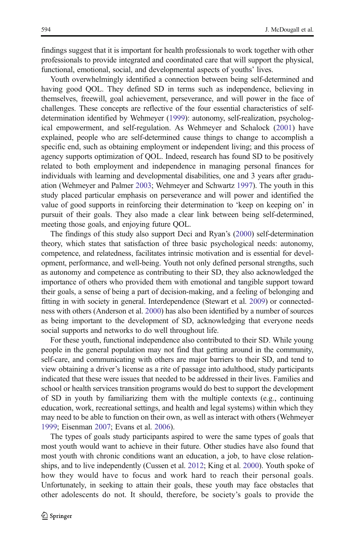findings suggest that it is important for health professionals to work together with other professionals to provide integrated and coordinated care that will support the physical, functional, emotional, social, and developmental aspects of youths' lives.

Youth overwhelmingly identified a connection between being self-determined and having good QOL. They defined SD in terms such as independence, believing in themselves, freewill, goal achievement, perseverance, and will power in the face of challenges. These concepts are reflective of the four essential characteristics of selfdetermination identified by Wehmeyer [\(1999\)](#page-29-0): autonomy, self-realization, psychological empowerment, and self-regulation. As Wehmeyer and Schalock ([2001\)](#page-29-0) have explained, people who are self-determined cause things to change to accomplish a specific end, such as obtaining employment or independent living; and this process of agency supports optimization of QOL. Indeed, research has found SD to be positively related to both employment and independence in managing personal finances for individuals with learning and developmental disabilities, one and 3 years after graduation (Wehmeyer and Palmer [2003](#page-29-0); Wehmeyer and Schwartz [1997\)](#page-30-0). The youth in this study placed particular emphasis on perseverance and will power and identified the value of good supports in reinforcing their determination to 'keep on keeping on' in pursuit of their goals. They also made a clear link between being self-determined, meeting those goals, and enjoying future QOL.

The findings of this study also support Deci and Ryan's ([2000](#page-27-0)) self-determination theory, which states that satisfaction of three basic psychological needs: autonomy, competence, and relatedness, facilitates intrinsic motivation and is essential for development, performance, and well-being. Youth not only defined personal strengths, such as autonomy and competence as contributing to their SD, they also acknowledged the importance of others who provided them with emotional and tangible support toward their goals, a sense of being a part of decision-making, and a feeling of belonging and fitting in with society in general. Interdependence (Stewart et al. [2009](#page-29-0)) or connectedness with others (Anderson et al. [2000](#page-27-0)) has also been identified by a number of sources as being important to the development of SD, acknowledging that everyone needs social supports and networks to do well throughout life.

For these youth, functional independence also contributed to their SD. While young people in the general population may not find that getting around in the community, self-care, and communicating with others are major barriers to their SD, and tend to view obtaining a driver's license as a rite of passage into adulthood, study participants indicated that these were issues that needed to be addressed in their lives. Families and school or health services transition programs would do best to support the development of SD in youth by familiarizing them with the multiple contexts (e.g., continuing education, work, recreational settings, and health and legal systems) within which they may need to be able to function on their own, as well as interact with others (Wehmeyer [1999;](#page-29-0) Eisenman [2007;](#page-27-0) Evans et al. [2006\)](#page-27-0).

The types of goals study participants aspired to were the same types of goals that most youth would want to achieve in their future. Other studies have also found that most youth with chronic conditions want an education, a job, to have close relationships, and to live independently (Cussen et al. [2012](#page-27-0); King et al. [2000\)](#page-28-0). Youth spoke of how they would have to focus and work hard to reach their personal goals. Unfortunately, in seeking to attain their goals, these youth may face obstacles that other adolescents do not. It should, therefore, be society's goals to provide the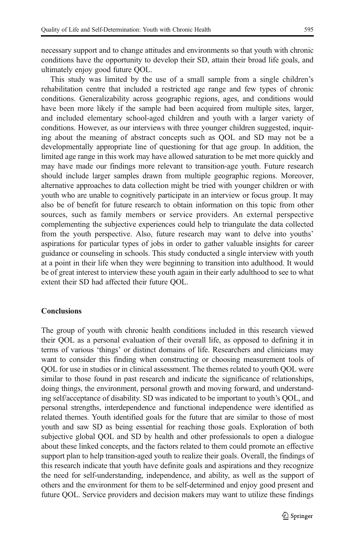necessary support and to change attitudes and environments so that youth with chronic conditions have the opportunity to develop their SD, attain their broad life goals, and ultimately enjoy good future QOL.

This study was limited by the use of a small sample from a single children's rehabilitation centre that included a restricted age range and few types of chronic conditions. Generalizability across geographic regions, ages, and conditions would have been more likely if the sample had been acquired from multiple sites, larger, and included elementary school-aged children and youth with a larger variety of conditions. However, as our interviews with three younger children suggested, inquiring about the meaning of abstract concepts such as QOL and SD may not be a developmentally appropriate line of questioning for that age group. In addition, the limited age range in this work may have allowed saturation to be met more quickly and may have made our findings more relevant to transition-age youth. Future research should include larger samples drawn from multiple geographic regions. Moreover, alternative approaches to data collection might be tried with younger children or with youth who are unable to cognitively participate in an interview or focus group. It may also be of benefit for future research to obtain information on this topic from other sources, such as family members or service providers. An external perspective complementing the subjective experiences could help to triangulate the data collected from the youth perspective. Also, future research may want to delve into youths' aspirations for particular types of jobs in order to gather valuable insights for career guidance or counseling in schools. This study conducted a single interview with youth at a point in their life when they were beginning to transition into adulthood. It would be of great interest to interview these youth again in their early adulthood to see to what extent their SD had affected their future QOL.

#### **Conclusions**

The group of youth with chronic health conditions included in this research viewed their QOL as a personal evaluation of their overall life, as opposed to defining it in terms of various 'things' or distinct domains of life. Researchers and clinicians may want to consider this finding when constructing or choosing measurement tools of QOL for use in studies or in clinical assessment. The themes related to youth QOL were similar to those found in past research and indicate the significance of relationships, doing things, the environment, personal growth and moving forward, and understanding self/acceptance of disability. SD was indicated to be important to youth's QOL, and personal strengths, interdependence and functional independence were identified as related themes. Youth identified goals for the future that are similar to those of most youth and saw SD as being essential for reaching those goals. Exploration of both subjective global QOL and SD by health and other professionals to open a dialogue about these linked concepts, and the factors related to them could promote an effective support plan to help transition-aged youth to realize their goals. Overall, the findings of this research indicate that youth have definite goals and aspirations and they recognize the need for self-understanding, independence, and ability, as well as the support of others and the environment for them to be self-determined and enjoy good present and future QOL. Service providers and decision makers may want to utilize these findings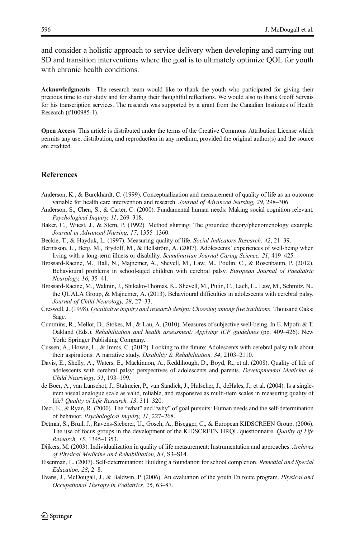<span id="page-27-0"></span>and consider a holistic approach to service delivery when developing and carrying out SD and transition interventions where the goal is to ultimately optimize QOL for youth with chronic health conditions.

Acknowledgments The research team would like to thank the youth who participated for giving their precious time to our study and for sharing their thoughtful reflections. We would also to thank Geoff Servais for his transcription services. The research was supported by a grant from the Canadian Institutes of Health Research (#100985-1).

Open Access This article is distributed under the terms of the Creative Commons Attribution License which permits any use, distribution, and reproduction in any medium, provided the original author(s) and the source are credited.

#### References

- Anderson, K., & Burckhardt, C. (1999). Conceptualization and measurement of quality of life as an outcome variable for health care intervention and research. Journal of Advanced Nursing, 29, 298–306.
- Anderson, S., Chen, S., & Carter, C. (2000). Fundamental human needs: Making social cognition relevant. Psychological Inquiry, 11, 269–318.
- Baker, C., Wuest, J., & Stern, P. (1992). Method slurring: The grounded theory/phenomenology example. Journal in Advanced Nursing, 17, 1355–1360.
- Beckie, T., & Hayduk, L. (1997). Measuring quality of life. Social Indicators Research, 42, 21–39.
- Berntsson, L., Berg, M., Brydolf, M., & Hellström, A. (2007). Adolescents' experiences of well-being when living with a long-term illness or disability. Scandinavian Journal Caring Science, 21, 419–425.
- Brossard-Racine, M., Hall, N., Majnemer, A., Shevell, M., Law, M., Poulin, C., & Rosenbaum, P. (2012). Behavioural problems in school-aged children with cerebral palsy. European Journal of Paediatric Neurology, 16, 35–41.
- Brossard-Racine, M., Waknin, J., Shikako-Thomas, K., Shevell, M., Pulin, C., Lach, L., Law, M., Schmitz, N., the QUALA Group, & Majnemer, A. (2013). Behavioural difficulties in adolescents with cerebral palsy. Journal of Child Neurology, 28, 27–33.
- Creswell, J. (1998). Qualitative inquiry and research design: Choosing among five traditions. Thousand Oaks: Sage.
- Cummins, R., Mellor, D., Stokes, M., & Lau, A. (2010). Measures of subjective well-being. In E. Mpofu & T. Oakland (Eds.), Rehabilitation and health assessment: Applying ICF guidelines (pp. 409–426). New York: Springer Publishing Company.
- Cussen, A., Howie, L., & Imms, C. (2012). Looking to the future: Adolescents with cerebral palsy talk about their aspirations: A narrative study. Disability & Rehabilitation, 34, 2103–2110.
- Davis, E., Shelly, A., Waters, E., Mackinnon, A., Reddihough, D., Boyd, R., et al. (2008). Quality of life of adolescents with cerebral palsy: perspectives of adolescents and parents. Developmental Medicine & Child Neurology, 51, 193–199.
- de Boer, A., van Lanschot, J., Stalmeier, P., van Sandick, J., Hulscher, J., deHales, J., et al. (2004). Is a singleitem visual analogue scale as valid, reliable, and responsive as multi-item scales in measuring quality of life? Quality of Life Research, 13, 311–320.
- Deci, E., & Ryan, R. (2000). The "what" and "why" of goal pursuits: Human needs and the self-determination of behavior. Psychological Inquiry, 11, 227–268.
- Detmar, S., Bruil, J., Ravens-Sieberer, U., Gosch, A., Bisegger, C., & European KIDSCREEN Group. (2006). The use of focus groups in the development of the KIDSCREEN HRQL questionnaire. *Quality of Life* Research, 15, 1345–1353.
- Dijkers, M. (2003). Individualization in quality of life measurement: Instrumentation and approaches. Archives of Physical Medicine and Rehabilitation, 84, S3–S14.
- Eisenman, L. (2007). Self-determination: Building a foundation for school completion. Remedial and Special Education, 28, 2–8.
- Evans, J., McDougall, J., & Baldwin, P. (2006). An evaluation of the youth En route program. Physical and Occupational Therapy in Pediatrics, 26, 63–87.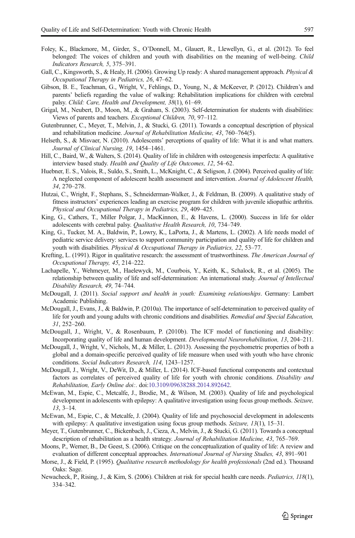- <span id="page-28-0"></span>Foley, K., Blackmore, M., Girder, S., O'Donnell, M., Glauert, R., Llewellyn, G., et al. (2012). To feel belonged: The voices of children and youth with disabilities on the meaning of well-being. *Child* Indicators Research, 5, 375–391.
- Gall, C., Kingsworth, S., & Healy, H. (2006). Growing Up ready: A shared management approach. *Physical &* Occupational Therapy in Pediatrics, 26, 47–62.
- Gibson, B. E., Teachman, G., Wright, V., Fehlings, D., Young, N., & McKeever, P. (2012). Children's and parents' beliefs regarding the value of walking: Rehabilitation implications for children with cerebral palsy. Child: Care, Health and Development, 38(1), 61–69.
- Grigal, M., Neubert, D., Moon, M., & Graham, S. (2003). Self-determination for students with disabilities: Views of parents and teachers. Exceptional Children, 70, 97–112.
- Gutenbrunner, C., Meyer, T., Melvin, J., & Stucki, G. (2011). Towards a conceptual description of physical and rehabilitation medicine. Journal of Rehabilitation Medicine, 43, 760–764(5).
- Helseth, S., & Misvaer, N. (2010). Adolescents' perceptions of quality of life: What it is and what matters. Journal of Clinical Nursing, 19, 1454–1461.
- Hill, C., Baird, W., & Walters, S. (2014). Quality of life in children with osteogenesis imperfecta: A qualitative interview based study. Health and Quality of Life Outcomes, 12, 54–62.
- Huebner, E. S., Valois, R., Suldo, S., Smith, L., McKnight, C., & Seligson, J. (2004). Perceived quality of life: A neglected component of adolescent health assessment and intervention. Journal of Adolescent Health, 34, 270–278.
- Hutzai, C., Wright, F., Stephans, S., Schneiderman-Walker, J., & Feldman, B. (2009). A qualitative study of fitness instructors' experiences leading an exercise program for children with juvenile idiopathic arthritis. Physical and Occupational Therapy in Pediatrics, 29, 409–425.
- King, G., Cathers, T., Miller Polgar, J., MacKinnon, E., & Havens, L. (2000). Success in life for older adolescents with cerebral palsy. Qualitative Health Research, 10, 734–749.
- King, G., Tucker, M. A., Baldwin, P., Lowry, K., LaPorta, J., & Martens, L. (2002). A life needs model of pediatric service delivery: services to support community participation and quality of life for children and youth with disabilities. Physical & Occupational Therapy in Pediatrics, 22, 53–77.
- Krefting, L. (1991). Rigor in qualitative research: the assessment of trustworthiness. The American Journal of Occupational Therapy, 45, 214–222.
- Lachapelle, Y., Wehmeyer, M., Haelewyck, M., Courbois, Y., Keith, K., Schalock, R., et al. (2005). The relationship between quality of life and self-determination: An international study. Journal of Intellectual Disability Research, 49, 74–744.
- McDougall, J. (2011). Social support and health in youth: Examining relationships. Germany: Lambert Academic Publishing.
- McDougall, J., Evans, J., & Baldwin, P. (2010a). The importance of self-determination to perceived quality of life for youth and young adults with chronic conditions and disabilities. Remedial and Special Education, 31, 252–260.
- McDougall, J., Wright, V., & Rosenbaum, P. (2010b). The ICF model of functioning and disability: Incorporating quality of life and human development. Developmental Neurorehabilitation, 13, 204–211.
- McDougall, J., Wright, V., Nichols, M., & Miller, L. (2013). Assessing the psychometric properties of both a global and a domain-specific perceived quality of life measure when used with youth who have chronic conditions. Social Indicators Research, 114, 1243–1257.
- McDougall, J., Wright, V., DeWit, D., & Miller, L. (2014). ICF-based functional components and contextual factors as correlates of perceived quality of life for youth with chronic conditions. *Disability and* Rehabilitation, Early Online doi:. doi[:10.3109/09638288.2014.892642.](http://dx.doi.org/10.3109/09638288.2014.892642)
- McEwan, M., Espie, C., Metcalfe, J., Brodie, M., & Wilson, M. (2003). Quality of life and psychological development in adolescents with epilepsy: A qualitative investigation using focus group methods. Seizure, 13, 3–14.
- McEwan, M., Espie, C., & Metcalfe, J. (2004). Quality of life and psychosocial development in adolescents with epilepsy: A qualitative investigation using focus group methods. Seizure, 13(1), 15–31.
- Meyer, T., Gutenbrunner, C., Bickenbach, J., Cieza, A., Melvin, J., & Stucki, G. (2011). Towards a conceptual description of rehabilitation as a health strategy. Journal of Rehabilitation Medicine, 43, 765–769.
- Moons, P., Werner, B., De Geest, S. (2006). Critique on the conceptualization of quality of life: A review and evaluation of different conceptual approaches. International Journal of Nursing Studies, 43, 891–901
- Morse, J., & Field, P. (1995). Qualitative research methodology for health professionals (2nd ed.). Thousand Oaks: Sage.
- Newacheck, P., Rising, J., & Kim, S. (2006). Children at risk for special health care needs. Pediatrics, 118(1), 334–342.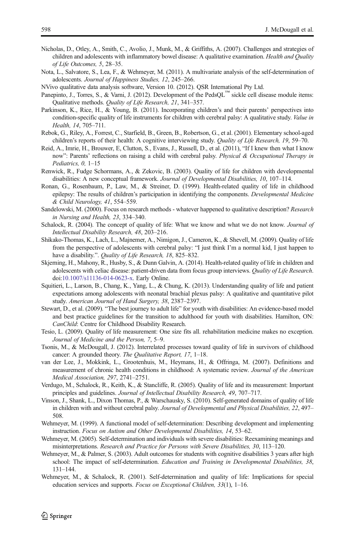- <span id="page-29-0"></span>Nicholas, D., Otley, A., Smith, C., Avolio, J., Munk, M., & Griffiths, A. (2007). Challenges and strategies of children and adolescents with inflammatory bowel disease: A qualitative examination. *Health and Quality* of Life Outcomes, 5, 28–35.
- Nota, L., Salvatore, S., Lea, F., & Wehmeyer, M. (2011). A multivariate analysis of the self-determination of adolescents. Journal of Happiness Studies, 12, 245–266.
- NVivo qualitative data analysis software, Version 10. (2012). QSR International Pty Ltd.
- Panepinto, J., Torres, S., & Varni, J. (2012). Development of the PedsOL $^{\text{m}}$  sickle cell disease module items: Qualitative methods. Quality of Life Research, 21, 341–357.
- Parkinson, K., Rice, H., & Young, B. (2011). Incorporating children's and their parents' perspectives into condition-specific quality of life instruments for children with cerebral palsy: A qualitative study. Value in Health, 14, 705–711.
- Rebok, G., Riley, A., Forrest, C., Starfield, B., Green, B., Robertson, G., et al. (2001). Elementary school-aged children's reports of their health: A cognitive interviewing study. Quality of Life Research, 19, 59–70.
- Reid, A., Imrie, H., Brouwer, E, Clutton, S., Evans, J., Russell, D., et al. (2011), "If I knew then what I know now": Parents' reflections on raising a child with cerebral palsy. Physical & Occupational Therapy in Pediatrics, 0, 1–15
- Renwick, R., Fudge Schormans, A., & Zekovic, B. (2003). Quality of life for children with developmental disabilities: A new conceptual framework. Journal of Developmental Disabilities, 10, 107–114.
- Ronan, G., Rosenbaum, P., Law, M., & Streiner, D. (1999). Health-related quality of life in childhood epilepsy: The results of children's participation in identifying the components. Developmental Medicine & Child Neurology, 41, 554–559.
- Sandelowski, M. (2000). Focus on research methods whatever happened to qualitative description? Research in Nursing and Health, 23, 334–340.
- Schalock, R. (2004). The concept of quality of life: What we know and what we do not know. Journal of Intellectual Disability Research, 48, 203–216.
- Shikako-Thomas, K., Lach, L., Majnemer, A., Nimigon, J., Cameron, K., & Shevell, M. (2009). Quality of life from the perspective of adolescents with cerebral palsy: "I just think I'm a normal kid, I just happen to have a disability.". Quality of Life Research, 18, 825–832.
- Skjerning, H., Mahony, R., Husby, S., & Dunn Galvin, A. (2014). Health-related quality of life in children and adolescents with celiac disease: patient-driven data from focus group interviews. Quality of Life Research. doi:[10.1007/s11136-014-0623-x](http://dx.doi.org/10.1007/s11136-014-0623-x). Early Online.
- Squitieri, L., Larson, B., Chang, K., Yang, L., & Chung, K. (2013). Understanding quality of life and patient expectations among adolescents with neonatal brachial plexus palsy: A qualitative and quantitative pilot study. American Journal of Hand Surgery, 38, 2387–2397.
- Stewart, D., et al. (2009). "The best journey to adult life" for youth with disabilities: An evidence-based model and best practice guidelines for the transition to adulthood for youth with disabilities. Hamilton, ON: CanChild: Centre for Childhood Disability Research.
- Tesio, L. (2009). Quality of life measurement: One size fits all. rehabilitation medicine makes no exception. Journal of Medicine and the Person, 7, 5–9.
- Tsonis, M., & McDougall, J. (2012). Interrelated processes toward quality of life in survivors of childhood cancer: A grounded theory. The Qualitative Report, 17, 1–18.
- van der Lee, J., Mokkink, L., Grootenhuis, M., Heymans, H., & Offringa, M. (2007). Definitions and measurement of chronic health conditions in childhood: A systematic review. Journal of the American Medical Association, 297, 2741–2751.
- Verdugo, M., Schalock, R., Keith, K., & Stancliffe, R. (2005). Quality of life and its measurement: Important principles and guidelines. Journal of Intellectual Disability Research, 49, 707–717.
- Vinson, J., Shank, L., Dixon Thomas, P., & Warschausky, S. (2010). Self-generated domains of quality of life in children with and without cerebral palsy. Journal of Developmental and Physical Disabilities, 22, 497– 508.
- Wehmeyer, M. (1999). A functional model of self-determination: Describing development and implementing instruction. Focus on Autism and Other Developmental Disabilities, 14, 53–62.
- Wehmeyer, M. (2005). Self-determination and individuals with severe disabilities: Reexamining meanings and misinterpretations. Research and Practice for Persons with Severe Disabilities, 30, 113–120.
- Wehmeyer, M., & Palmer, S. (2003). Adult outcomes for students with cognitive disabilities 3 years after high school: The impact of self-determination. *Education and Training in Developmental Disabilities*, 38, 131–144.
- Wehmeyer, M., & Schalock, R. (2001). Self-determination and quality of life: Implications for special education services and supports. Focus on Exceptional Children, 33(1), 1–16.